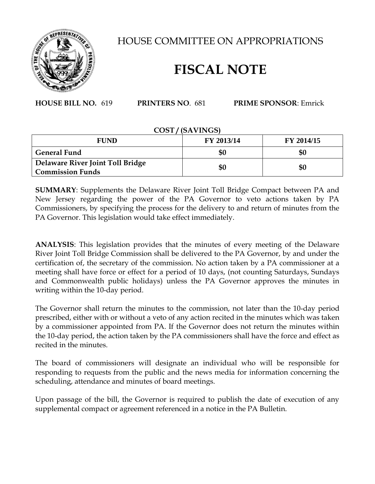

HOUSE COMMITTEE ON APPROPRIATIONS

## **FISCAL NOTE**

**HOUSE BILL NO.** 619 **PRINTERS NO**. 681 **PRIME SPONSOR**: Emrick

## **COST / (SAVINGS)**

| <b>FUND</b>                                                 | FY 2013/14 | FY 2014/15 |
|-------------------------------------------------------------|------------|------------|
| <b>General Fund</b>                                         | \$0        | \$0        |
| Delaware River Joint Toll Bridge<br><b>Commission Funds</b> | \$0        | \$0        |

**SUMMARY**: Supplements the Delaware River Joint Toll Bridge Compact between PA and New Jersey regarding the power of the PA Governor to veto actions taken by PA Commissioners, by specifying the process for the delivery to and return of minutes from the PA Governor. This legislation would take effect immediately.

**ANALYSIS**: This legislation provides that the minutes of every meeting of the Delaware River Joint Toll Bridge Commission shall be delivered to the PA Governor, by and under the certification of, the secretary of the commission. No action taken by a PA commissioner at a meeting shall have force or effect for a period of 10 days, (not counting Saturdays, Sundays and Commonwealth public holidays) unless the PA Governor approves the minutes in writing within the 10-day period.

The Governor shall return the minutes to the commission, not later than the 10-day period prescribed, either with or without a veto of any action recited in the minutes which was taken by a commissioner appointed from PA. If the Governor does not return the minutes within the 10-day period, the action taken by the PA commissioners shall have the force and effect as recited in the minutes.

The board of commissioners will designate an individual who will be responsible for responding to requests from the public and the news media for information concerning the scheduling, attendance and minutes of board meetings.

Upon passage of the bill, the Governor is required to publish the date of execution of any supplemental compact or agreement referenced in a notice in the PA Bulletin.